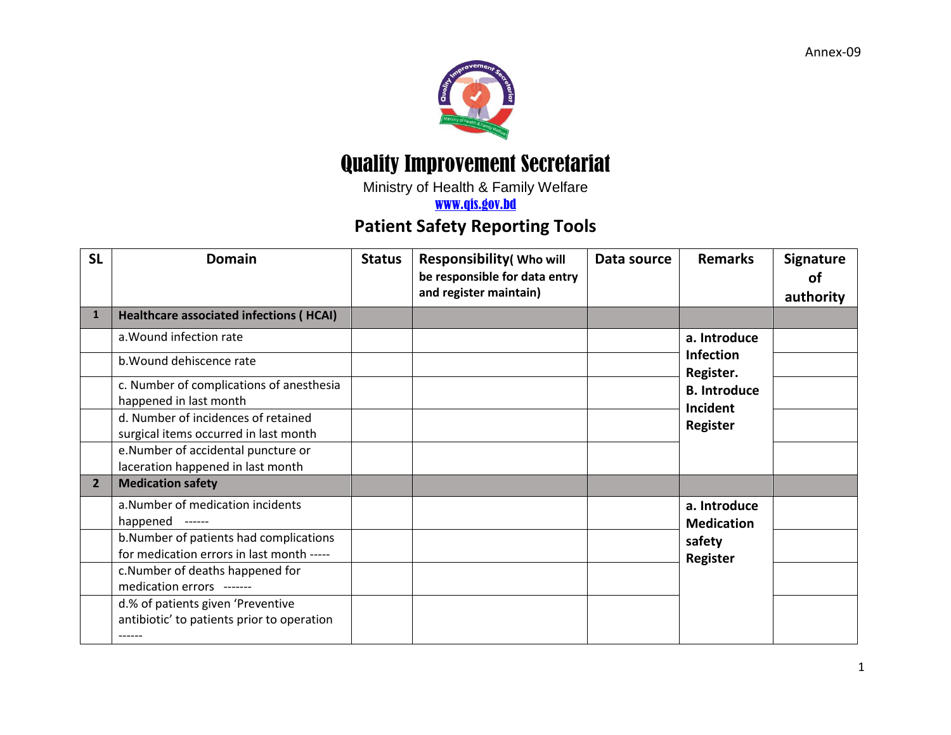

## Quality Improvement Secretariat

Ministry of Health & Family Welfare

[www.qis.gov.bd](http://www.qis.gov.bd/)

## **Patient Safety Reporting Tools**

| <b>SL</b>      | <b>Domain</b>                                                                             | <b>Status</b> | Responsibility (Who will<br>be responsible for data entry<br>and register maintain) | Data source | <b>Remarks</b>                                                                      | <b>Signature</b><br><b>of</b><br>authority |
|----------------|-------------------------------------------------------------------------------------------|---------------|-------------------------------------------------------------------------------------|-------------|-------------------------------------------------------------------------------------|--------------------------------------------|
| $\mathbf{1}$   | <b>Healthcare associated infections (HCAI)</b>                                            |               |                                                                                     |             |                                                                                     |                                            |
|                | a. Wound infection rate                                                                   |               |                                                                                     |             | a. Introduce                                                                        |                                            |
|                | b. Wound dehiscence rate                                                                  |               |                                                                                     |             | <b>Infection</b><br>Register.<br><b>B.</b> Introduce<br>Incident<br><b>Register</b> |                                            |
|                | c. Number of complications of anesthesia<br>happened in last month                        |               |                                                                                     |             |                                                                                     |                                            |
|                | d. Number of incidences of retained<br>surgical items occurred in last month              |               |                                                                                     |             |                                                                                     |                                            |
|                | e.Number of accidental puncture or<br>laceration happened in last month                   |               |                                                                                     |             |                                                                                     |                                            |
| $\overline{2}$ | <b>Medication safety</b>                                                                  |               |                                                                                     |             |                                                                                     |                                            |
|                | a.Number of medication incidents<br>happened                                              |               |                                                                                     |             | a. Introduce<br><b>Medication</b><br>safety<br><b>Register</b>                      |                                            |
|                | b.Number of patients had complications<br>for medication errors in last month -----       |               |                                                                                     |             |                                                                                     |                                            |
|                | c. Number of deaths happened for<br>medication errors -------                             |               |                                                                                     |             |                                                                                     |                                            |
|                | d.% of patients given 'Preventive<br>antibiotic' to patients prior to operation<br>------ |               |                                                                                     |             |                                                                                     |                                            |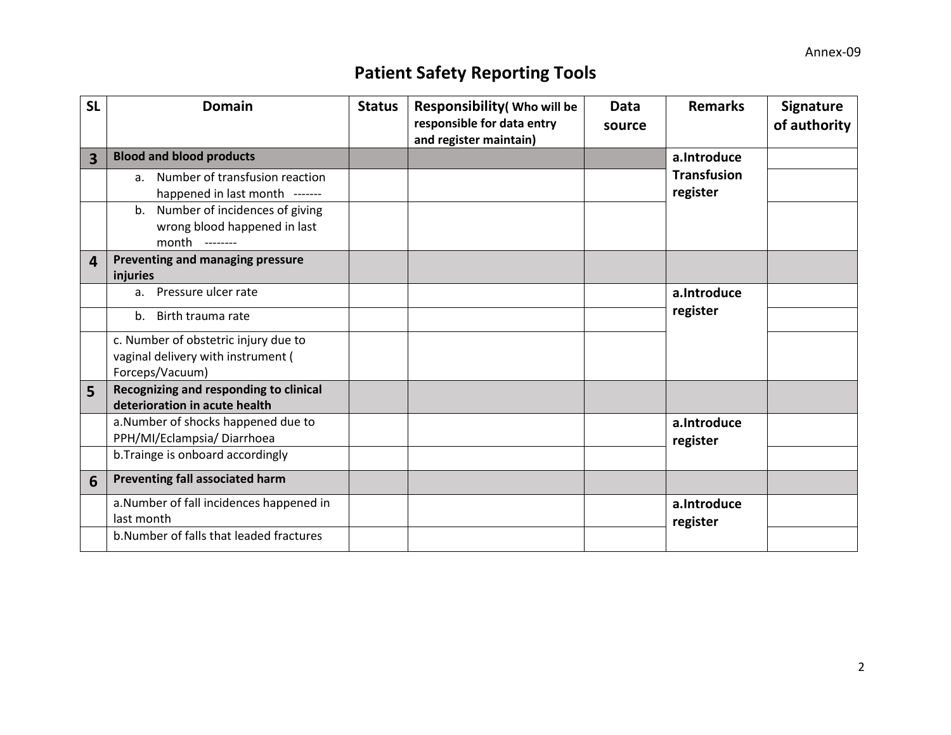## **Patient Safety Reporting Tools**

| <b>SL</b> | <b>Domain</b>                                                                                 | <b>Status</b> | Responsibility (Who will be<br>responsible for data entry<br>and register maintain) | <b>Data</b><br>source | <b>Remarks</b>                 | <b>Signature</b><br>of authority |
|-----------|-----------------------------------------------------------------------------------------------|---------------|-------------------------------------------------------------------------------------|-----------------------|--------------------------------|----------------------------------|
| 3         | <b>Blood and blood products</b>                                                               |               |                                                                                     |                       | a.Introduce                    |                                  |
|           | a. Number of transfusion reaction<br>happened in last month -------                           |               |                                                                                     |                       | <b>Transfusion</b><br>register |                                  |
|           | Number of incidences of giving<br>b.<br>wrong blood happened in last<br>month<br>--------     |               |                                                                                     |                       |                                |                                  |
| 4         | Preventing and managing pressure                                                              |               |                                                                                     |                       |                                |                                  |
|           | injuries                                                                                      |               |                                                                                     |                       |                                |                                  |
|           | a. Pressure ulcer rate                                                                        |               |                                                                                     |                       | a.Introduce<br>register        |                                  |
|           | Birth trauma rate<br>b.                                                                       |               |                                                                                     |                       |                                |                                  |
|           | c. Number of obstetric injury due to<br>vaginal delivery with instrument (<br>Forceps/Vacuum) |               |                                                                                     |                       |                                |                                  |
| 5         | Recognizing and responding to clinical<br>deterioration in acute health                       |               |                                                                                     |                       |                                |                                  |
|           | a.Number of shocks happened due to                                                            |               |                                                                                     |                       | a.Introduce                    |                                  |
|           | PPH/MI/Eclampsia/Diarrhoea                                                                    |               |                                                                                     |                       | register                       |                                  |
|           | b. Trainge is onboard accordingly                                                             |               |                                                                                     |                       |                                |                                  |
| 6         | Preventing fall associated harm                                                               |               |                                                                                     |                       |                                |                                  |
|           | a.Number of fall incidences happened in                                                       |               |                                                                                     |                       | a.Introduce                    |                                  |
|           | last month                                                                                    |               |                                                                                     |                       | register                       |                                  |
|           | b. Number of falls that leaded fractures                                                      |               |                                                                                     |                       |                                |                                  |